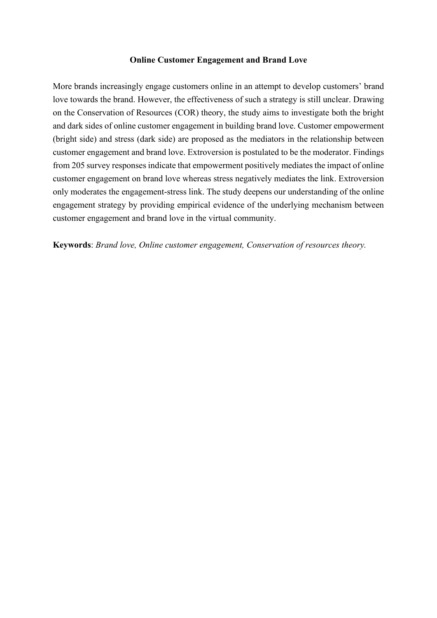## **Online Customer Engagement and Brand Love**

More brands increasingly engage customers online in an attempt to develop customers' brand love towards the brand. However, the effectiveness of such a strategy is still unclear. Drawing on the Conservation of Resources (COR) theory, the study aims to investigate both the bright and dark sides of online customer engagement in building brand love. Customer empowerment (bright side) and stress (dark side) are proposed as the mediators in the relationship between customer engagement and brand love. Extroversion is postulated to be the moderator. Findings from 205 survey responses indicate that empowerment positively mediates the impact of online customer engagement on brand love whereas stress negatively mediates the link. Extroversion only moderates the engagement-stress link. The study deepens our understanding of the online engagement strategy by providing empirical evidence of the underlying mechanism between customer engagement and brand love in the virtual community.

**Keywords**: *Brand love, Online customer engagement, Conservation of resources theory.*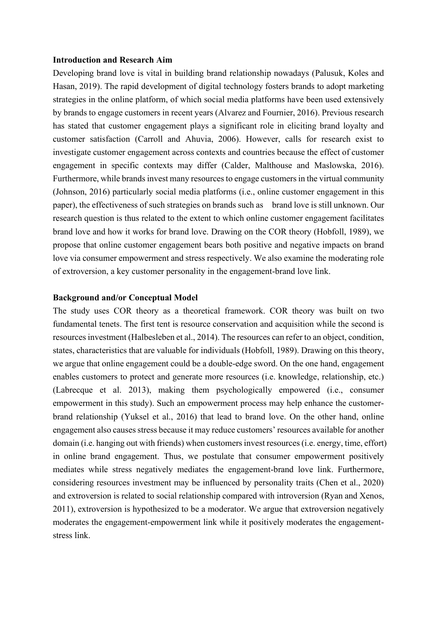### **Introduction and Research Aim**

Developing brand love is vital in building brand relationship nowadays (Palusuk, Koles and Hasan, 2019). The rapid development of digital technology fosters brands to adopt marketing strategies in the online platform, of which social media platforms have been used extensively by brands to engage customers in recent years (Alvarez and Fournier, 2016). Previous research has stated that customer engagement plays a significant role in eliciting brand loyalty and customer satisfaction (Carroll and Ahuvia, 2006). However, calls for research exist to investigate customer engagement across contexts and countries because the effect of customer engagement in specific contexts may differ (Calder, Malthouse and Maslowska, 2016). Furthermore, while brands invest many resources to engage customers in the virtual community (Johnson, 2016) particularly social media platforms (i.e., online customer engagement in this paper), the effectiveness of such strategies on brands such as brand love is still unknown. Our research question is thus related to the extent to which online customer engagement facilitates brand love and how it works for brand love. Drawing on the COR theory (Hobfoll, 1989), we propose that online customer engagement bears both positive and negative impacts on brand love via consumer empowerment and stress respectively. We also examine the moderating role of extroversion, a key customer personality in the engagement-brand love link.

#### **Background and/or Conceptual Model**

The study uses COR theory as a theoretical framework. COR theory was built on two fundamental tenets. The first tent is resource conservation and acquisition while the second is resources investment (Halbesleben et al., 2014). The resources can refer to an object, condition, states, characteristics that are valuable for individuals (Hobfoll, 1989). Drawing on this theory, we argue that online engagement could be a double-edge sword. On the one hand, engagement enables customers to protect and generate more resources (i.e. knowledge, relationship, etc.) (Labrecque et al. 2013), making them psychologically empowered (i.e., consumer empowerment in this study). Such an empowerment process may help enhance the customerbrand relationship (Yuksel et al., 2016) that lead to brand love. On the other hand, online engagement also causes stress because it may reduce customers' resources available for another domain (i.e. hanging out with friends) when customers invest resources (i.e. energy, time, effort) in online brand engagement. Thus, we postulate that consumer empowerment positively mediates while stress negatively mediates the engagement-brand love link. Furthermore, considering resources investment may be influenced by personality traits (Chen et al., 2020) and extroversion is related to social relationship compared with introversion (Ryan and Xenos, 2011), extroversion is hypothesized to be a moderator. We argue that extroversion negatively moderates the engagement-empowerment link while it positively moderates the engagementstress link.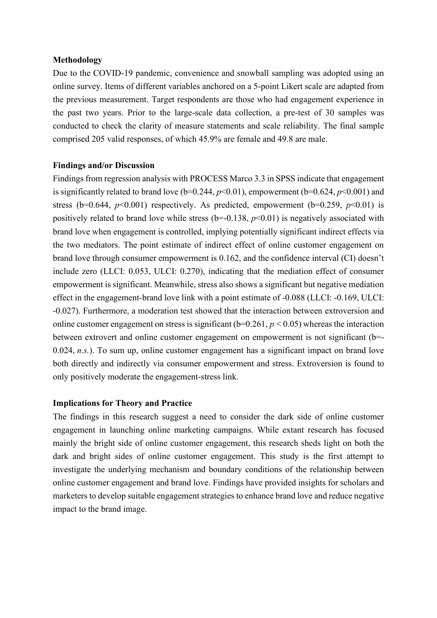### **Methodology**

Due to the COVID-19 pandemic, convenience and snowball sampling was adopted using an online survey. Items of different variables anchored on a 5-point Likert scale are adapted from the previous measurement. Target respondents are those who had engagement experience in the past two years. Prior to the large-scale data collection, a pre-test of 30 samples was conducted to check the clarity of measure statements and scale reliability. The final sample comprised 205 valid responses, of which 45.9% are female and 49.8 are male.

## **Findings and/or Discussion**

Findings from regression analysis with PROCESS Marco 3.3 in SPSS indicate that engagement is significantly related to brand love ( $b=0.244$ ,  $p<0.01$ ), empowerment ( $b=0.624$ ,  $p<0.001$ ) and stress (b=0.644,  $p<0.001$ ) respectively. As predicted, empowerment (b=0.259,  $p<0.01$ ) is positively related to brand love while stress  $(b=0.138, p<0.01)$  is negatively associated with brand love when engagement is controlled, implying potentially significant indirect effects via the two mediators. The point estimate of indirect effect of online customer engagement on brand love through consumer empowerment is  $0.162$ , and the confidence interval (CI) doesn't include zero (LLCI: 0.053, ULCI: 0.270), indicating that the mediation effect of consumer empowerment is significant. Meanwhile, stress also shows a significant but negative mediation effect in the engagement-brand love link with a point estimate of -0.088 (LLCI: -0.169, ULCI: -0.027). Furthermore, a moderation test showed that the interaction between extroversion and online customer engagement on stress is significant ( $b=0.261$ ,  $p < 0.05$ ) whereas the interaction between extrovert and online customer engagement on empowerment is not significant (b=- 0.024, *n.s.*). To sum up, online customer engagement has a significant impact on brand love both directly and indirectly via consumer empowerment and stress. Extroversion is found to only positively moderate the engagement-stress link.

# **Implications for Theory and Practice**

The findings in this research suggest a need to consider the dark side of online customer engagement in launching online marketing campaigns. While extant research has focused mainly the bright side of online customer engagement, this research sheds light on both the dark and bright sides of online customer engagement. This study is the first attempt to investigate the underlying mechanism and boundary conditions of the relationship between online customer engagement and brand love. Findings have provided insights for scholars and marketers to develop suitable engagement strategies to enhance brand love and reduce negative impact to the brand image.